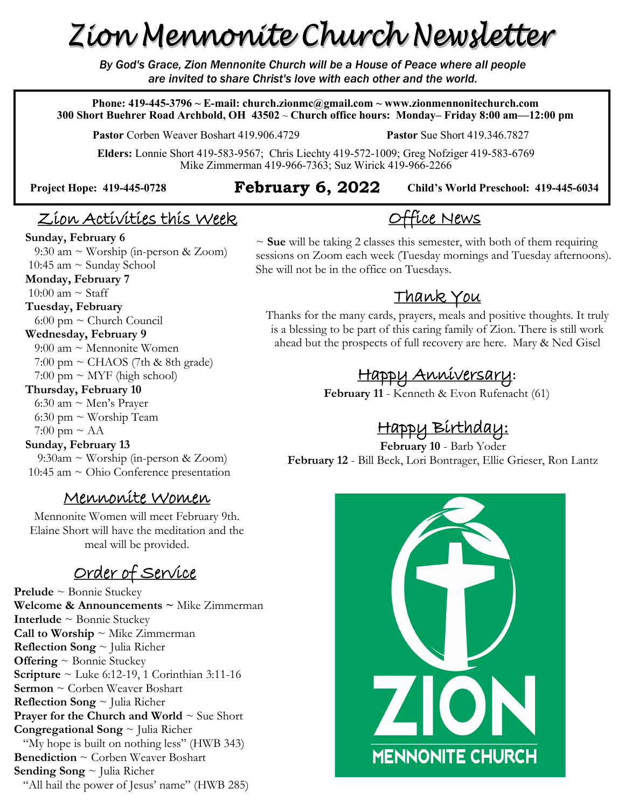# Zion Mennonite Church Newsletter

*By God's Grace, Zion Mennonite Church will be a House of Peace where all people are invited to share Christ's love with each other and the world.*

**Phone: 419-445-3796 ~ E-mail: church.zionmc@gmail.com ~ www.zionmennonitechurch.com 300 Short Buehrer Road Archbold, OH 43502** ~ **Church office hours: Monday– Friday 8:00 am—12:00 pm** 

**Pastor** Corben Weaver Boshart 419.906.4729 **Pastor** Sue Short 419.346.7827

**Child's World Preschool: 419-445-6034** 

**Elders:** Lonnie Short 419-583-9567; Chris Liechty 419-572-1009; Greg Nofziger 419-583-6769 Mike Zimmerman 419-966-7363; Suz Wirick 419-966-2266

### **Project Hope: 419-445-<sup>0728</sup> February 6, 2022**

# Office News

### Zion Activities this Week

#### **Sunday, February 6**

9:30 am  $\sim$  Worship (in-person & Zoom) 10:45 am  $\sim$  Sunday School

#### **Monday, February 7**

10:00 am  $\sim$  Staff

#### **Tuesday, February**

6:00 pm  $\sim$  Church Council

### **Wednesday, February 9**

 $9:00$  am  $\sim$  Mennonite Women  $7:00 \text{ pm} \sim \text{CHAOS}$  (7th & 8th grade)  $7:00 \text{ pm} \sim \text{MYF}$  (high school)

#### **Thursday, February 10**

 6:30 am ~ Men's Prayer 6:30 pm  $\sim$  Worship Team

#### $7:00 \text{ pm} \sim \text{AA}$

#### **Sunday, February 13**

 $9:30$ am ~ Worship (in-person & Zoom) 10:45 am ~ Ohio Conference presentation

### Mennonite Women

Mennonite Women will meet February 9th. Elaine Short will have the meditation and the meal will be provided.

## Order of Service

**Prelude** ~ Bonnie Stuckey **Welcome & Announcements ~** Mike Zimmerman **Interlude** ~ Bonnie Stuckey **Call to Worship** ~ Mike Zimmerman **Reflection Song** ~ Julia Richer **Offering** ~ Bonnie Stuckey **Scripture** ~ Luke 6:12-19, 1 Corinthian 3:11-16 **Sermon** ~ Corben Weaver Boshart **Reflection Song** ~ Julia Richer **Prayer for the Church and World**  $\sim$  Sue Short **Congregational Song** ~ Julia Richer "My hope is built on nothing less" (HWB 343) **Benediction** ~ Corben Weaver Boshart **Sending Song** ~ Julia Richer "All hail the power of Jesus' name" (HWB 285)

~ **Sue** will be taking 2 classes this semester, with both of them requiring sessions on Zoom each week (Tuesday mornings and Tuesday afternoons). She will not be in the office on Tuesdays.

### Thank You

Thanks for the many cards, prayers, meals and positive thoughts. It truly is a blessing to be part of this caring family of Zion. There is still work ahead but the prospects of full recovery are here. Mary & Ned Gisel

# Happy Anniversary**:**

**February 11** - Kenneth & Evon Rufenacht (61)

## Happy Birthday:

**February 10** - Barb Yoder **February 12** - Bill Beck, Lori Bontrager, Ellie Grieser, Ron Lantz